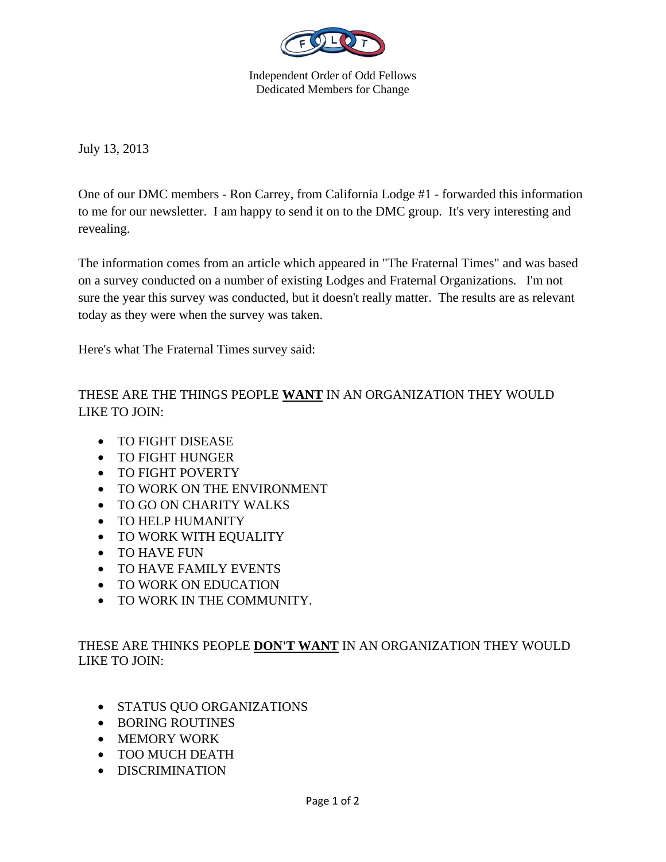

Independent Order of Odd Fellows Dedicated Members for Change

July 13, 2013

One of our DMC members - Ron Carrey, from California Lodge #1 - forwarded this information to me for our newsletter. I am happy to send it on to the DMC group. It's very interesting and revealing.

The information comes from an article which appeared in "The Fraternal Times" and was based on a survey conducted on a number of existing Lodges and Fraternal Organizations. I'm not sure the year this survey was conducted, but it doesn't really matter. The results are as relevant today as they were when the survey was taken.

Here's what The Fraternal Times survey said:

THESE ARE THE THINGS PEOPLE **WANT** IN AN ORGANIZATION THEY WOULD LIKE TO JOIN:

- TO FIGHT DISEASE
- TO FIGHT HUNGER
- TO FIGHT POVERTY
- TO WORK ON THE ENVIRONMENT
- TO GO ON CHARITY WALKS
- TO HELP HUMANITY
- TO WORK WITH EQUALITY
- TO HAVE FUN
- TO HAVE FAMILY EVENTS
- TO WORK ON EDUCATION
- TO WORK IN THE COMMUNITY.

THESE ARE THINKS PEOPLE **DON'T WANT** IN AN ORGANIZATION THEY WOULD LIKE TO JOIN:

- STATUS QUO ORGANIZATIONS
- BORING ROUTINES
- MEMORY WORK
- TOO MUCH DEATH
- DISCRIMINATION